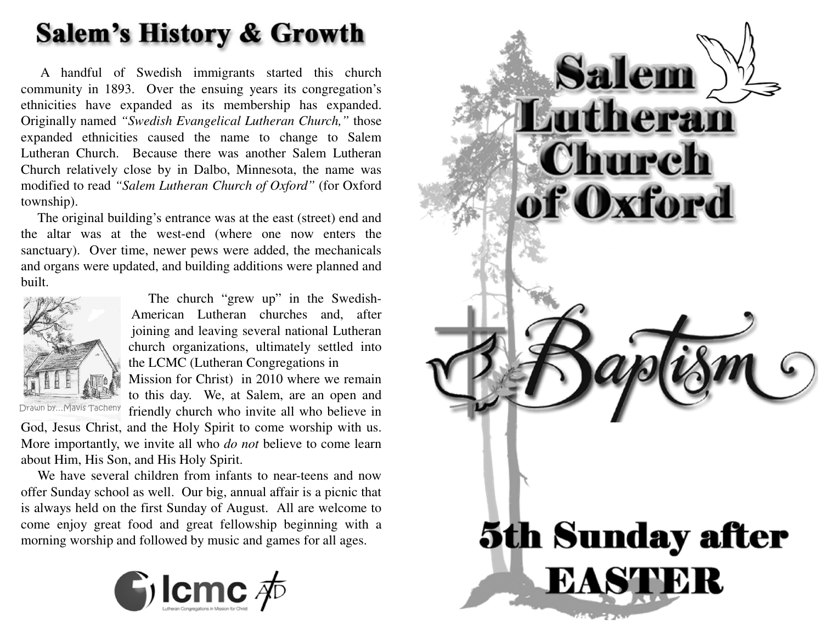# **Salem's History & Growth**

A handful of Swedish immigrants started this church community in 1893. Over the ensuing years its congregation's ethnicities have expanded as its membership has expanded. Originally named *"Swedish Evangelical Lutheran Church,"* those expanded ethnicities caused the name to change to Salem Lutheran Church. Because there was another Salem Lutheran Church relatively close by in Dalbo, Minnesota, the name was modified to read *"Salem Lutheran Church of Oxford"* (for Oxford township).

The original building's entrance was at the east (street) end and the altar was at the west-end (where one now enters the sanctuary). Over time, newer pews were added, the mechanicals and organs were updated, and building additions were planned andbuilt.



The church "grew up" in the Swedish-American Lutheran churches and, after joining and leaving several national Lutheran church organizations, ultimately settled intothe LCMC (Lutheran Congregations in

Drawn by…Mavis Tacheny

 Mission for Christ) in 2010 where we remain to this day. We, at Salem, are an open andfriendly church who invite all who believe in

 God, Jesus Christ, and the Holy Spirit to come worship with us. More importantly, we invite all who *do not* believe to come learn about Him, His Son, and His Holy Spirit.

We have several children from infants to near-teens and now offer Sunday school as well. Our big, annual affair is <sup>a</sup> picnic thatis always held on the first Sunday of August. All are welcome to come enjoy grea<sup>t</sup> food and grea<sup>t</sup> fellowship beginning with <sup>a</sup>morning worship and followed by music and games for all ages.